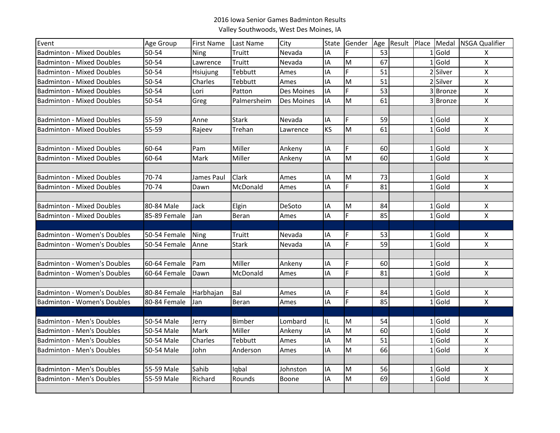## 2016 Iowa Senior Games Badminton ResultsValley Southwoods, West Des Moines, IA

| Event                              | <b>Age Group</b> | First Name  | Last Name     | City              | <b>State</b> | Gender | Age | Result Place |          | Medal NSGA Qualifier |
|------------------------------------|------------------|-------------|---------------|-------------------|--------------|--------|-----|--------------|----------|----------------------|
| <b>Badminton - Mixed Doubles</b>   | 50-54            | Ning        | Truitt        | Nevada            | IA           | F      | 53  |              | $1$ Gold | X                    |
| <b>Badminton - Mixed Doubles</b>   | 50-54            | Lawrence    | Truitt        | Nevada            | IA           | M      | 67  |              | $1$ Gold | $\pmb{\times}$       |
| <b>Badminton - Mixed Doubles</b>   | 50-54            | Hsiujung    | Tebbutt       | Ames              | IA           | F.     | 51  |              | 2 Silver | $\pmb{\mathsf{X}}$   |
| <b>Badminton - Mixed Doubles</b>   | 50-54            | Charles     | Tebbutt       | Ames              | IA           | M      | 51  |              | 2 Silver | $\mathsf{X}$         |
| <b>Badminton - Mixed Doubles</b>   | 50-54            | Lori        | Patton        | Des Moines        | IA           | F.     | 53  |              | 3 Bronze | $\pmb{\mathsf{X}}$   |
| <b>Badminton - Mixed Doubles</b>   | 50-54            | Greg        | Palmersheim   | <b>Des Moines</b> | <b>IA</b>    | M      | 61  |              | 3 Bronze | $\mathsf{X}$         |
|                                    |                  |             |               |                   |              |        |     |              |          |                      |
| <b>Badminton - Mixed Doubles</b>   | 55-59            | Anne        | <b>Stark</b>  | Nevada            | IA           | F      | 59  |              | $1$ Gold | X                    |
| <b>Badminton - Mixed Doubles</b>   | 55-59            | Rajeev      | Trehan        | Lawrence          | <b>KS</b>    | M      | 61  |              | $1$ Gold | $\pmb{\times}$       |
|                                    |                  |             |               |                   |              |        |     |              |          |                      |
| <b>Badminton - Mixed Doubles</b>   | 60-64            | Pam         | Miller        | Ankeny            | IA           | F      | 60  |              | $1$ Gold | X                    |
| <b>Badminton - Mixed Doubles</b>   | 60-64            | Mark        | Miller        | Ankeny            | IA           | M      | 60  |              | $1$ Gold | $\pmb{\times}$       |
|                                    |                  |             |               |                   |              |        |     |              |          |                      |
| <b>Badminton - Mixed Doubles</b>   | 70-74            | James Paul  | <b>Clark</b>  | Ames              | IA           | M      | 73  |              | $1$ Gold | X                    |
| <b>Badminton - Mixed Doubles</b>   | 70-74            | Dawn        | McDonald      | Ames              | IA           | F.     | 81  |              | $1$ Gold | $\pmb{\times}$       |
|                                    |                  |             |               |                   |              |        |     |              |          |                      |
| <b>Badminton - Mixed Doubles</b>   | 80-84 Male       | Jack        | Elgin         | DeSoto            | IA           | M      | 84  |              | $1$ Gold | X                    |
| <b>Badminton - Mixed Doubles</b>   | 85-89 Female     | Jan         | Beran         | Ames              | IA           | F.     | 85  |              | $1$ Gold | $\pmb{\mathsf{X}}$   |
|                                    |                  |             |               |                   |              |        |     |              |          |                      |
| <b>Badminton - Women's Doubles</b> | 50-54 Female     | <b>Ning</b> | Truitt        | Nevada            | IA           | F      | 53  |              | $1$ Gold | X                    |
| <b>Badminton - Women's Doubles</b> | 50-54 Female     | Anne        | <b>Stark</b>  | Nevada            | IA           | F      | 59  |              | $1$ Gold | $\pmb{\times}$       |
|                                    |                  |             |               |                   |              |        |     |              |          |                      |
| <b>Badminton - Women's Doubles</b> | 60-64 Female     | Pam         | Miller        | Ankeny            | IA           | F      | 60  |              | $1$ Gold | X                    |
| <b>Badminton - Women's Doubles</b> | 60-64 Female     | Dawn        | McDonald      | Ames              | IA           | F      | 81  |              | $1$ Gold | $\pmb{\mathsf{X}}$   |
|                                    |                  |             |               |                   |              |        |     |              |          |                      |
| <b>Badminton - Women's Doubles</b> | 80-84 Female     | Harbhajan   | Bal           | Ames              | IA           | F      | 84  |              | $1$ Gold | X                    |
| <b>Badminton - Women's Doubles</b> | 80-84 Female     | Jan         | Beran         | Ames              | IA           | F      | 85  |              | $1$ Gold | $\pmb{\mathsf{X}}$   |
|                                    |                  |             |               |                   |              |        |     |              |          |                      |
| <b>Badminton - Men's Doubles</b>   | 50-54 Male       | Jerry       | <b>Bimber</b> | Lombard           | IL           | M      | 54  |              | $1$ Gold | х                    |
| <b>Badminton - Men's Doubles</b>   | 50-54 Male       | Mark        | Miller        | Ankeny            | IA           | M      | 60  |              | $1$ Gold | $\pmb{\times}$       |
| <b>Badminton - Men's Doubles</b>   | 50-54 Male       | Charles     | Tebbutt       | Ames              | IA           | M      | 51  |              | $1$ Gold | $\pmb{\mathsf{X}}$   |
| <b>Badminton - Men's Doubles</b>   | 50-54 Male       | John        | Anderson      | Ames              | <b>IA</b>    | M      | 66  |              | $1$ Gold | $\pmb{\times}$       |
|                                    |                  |             |               |                   |              |        |     |              |          |                      |
| <b>Badminton - Men's Doubles</b>   | 55-59 Male       | Sahib       | Iqbal         | Johnston          | IA           | M      | 56  |              | $1$ Gold | X                    |
| <b>Badminton - Men's Doubles</b>   | 55-59 Male       | Richard     | Rounds        | Boone             | IA           | M      | 69  |              | $1$ Gold | $\pmb{\times}$       |
|                                    |                  |             |               |                   |              |        |     |              |          |                      |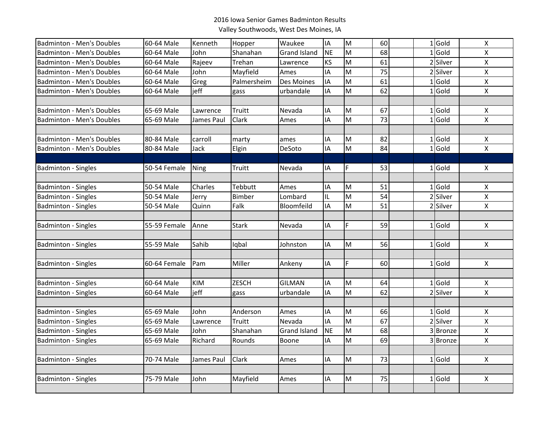## 2016 Iowa Senior Games Badminton ResultsValley Southwoods, West Des Moines, IA

| M<br>$1$ Gold<br><b>IA</b><br>60<br>Badminton - Men's Doubles<br>60-64 Male<br>Kenneth<br>Waukee<br>X<br>Hopper<br><b>NE</b><br>M<br>68<br>Gold<br>Shanahan<br><b>Grand Island</b><br>X<br><b>Badminton - Men's Doubles</b><br>60-64 Male<br>John<br>$\mathbf{1}$<br>61<br><b>KS</b><br>M<br>2 Silver<br>Rajeev<br>$\pmb{\times}$<br><b>Badminton - Men's Doubles</b><br>60-64 Male<br>Trehan<br>Lawrence<br>75<br>IA<br>M<br>2 Silver<br>Mayfield<br>$\pmb{\mathsf{X}}$<br><b>Badminton - Men's Doubles</b><br>60-64 Male<br>John<br>Ames<br>IA<br>M<br>61<br>$1$ Gold<br>Greg<br>Palmersheim<br>Des Moines<br>$\pmb{\mathsf{X}}$<br><b>Badminton - Men's Doubles</b><br>60-64 Male<br>M<br>62<br>$1$ Gold<br><b>Badminton - Men's Doubles</b><br>jeff<br>IA<br>$\mathsf{X}$<br>60-64 Male<br>urbandale<br>gass<br>67<br><b>Badminton - Men's Doubles</b><br>IA<br>M<br>$1$ Gold<br>65-69 Male<br>Lawrence<br>Truitt<br>Nevada<br>X<br>$\overline{\mathsf{M}}$<br>73<br>$1$ Gold<br>$\pmb{\times}$<br><b>Badminton - Men's Doubles</b><br>Clark<br>IA<br>65-69 Male<br>James Paul<br>Ames<br>82<br>$1$ Gold<br><b>Badminton - Men's Doubles</b><br>carroll<br>IA<br>M<br>80-84 Male<br>X<br>marty<br>ames<br>$1$ Gold<br>IA<br>M<br>$\pmb{\times}$<br><b>Badminton - Men's Doubles</b><br>80-84 Male<br>DeSoto<br>84<br>Jack<br>Elgin<br>$1$ Gold<br>Nevada<br>IA<br>F<br>53<br><b>Badminton - Singles</b><br>50-54 Female<br>Ning<br>Truitt<br>X<br>Charles<br>Tebbutt<br>M<br>51<br>$1$ Gold<br><b>Badminton - Singles</b><br>50-54 Male<br>Ames<br>IA<br>X<br>2 Silver<br>M<br><b>Badminton - Singles</b><br>50-54 Male<br>Bimber<br>Lombard<br>IL<br>54<br>$\pmb{\mathsf{X}}$<br>Jerry<br>M<br>2 Silver<br>Falk<br>Bloomfeild<br>IA<br>51<br>$\pmb{\times}$<br><b>Badminton - Singles</b><br>50-54 Male<br>Quinn<br>F<br>59<br>$1$ Gold<br><b>Badminton - Singles</b><br>55-59 Female<br>Anne<br><b>Stark</b><br>Nevada<br>IA<br>Χ<br>M<br>56<br>$1$ Gold<br><b>Badminton - Singles</b><br>55-59 Male<br>Sahib<br>Johnston<br>IA<br>$\pmb{\mathsf{X}}$<br>Iqbal<br>F<br>$1$ Gold<br><b>Badminton - Singles</b><br>Miller<br>Ankeny<br>IA<br>60<br>$\pmb{\times}$<br>60-64 Female<br>Pam<br>M<br><b>KIM</b><br><b>ZESCH</b><br><b>GILMAN</b><br>64<br>$1$ Gold<br><b>Badminton - Singles</b><br>60-64 Male<br>IA<br>Χ<br>IA<br>M<br>2 Silver<br>$\pmb{\times}$<br><b>Badminton - Singles</b><br>60-64 Male<br>ieff<br>urbandale<br>62<br>gass<br>John<br>M<br>66<br>$1$ Gold<br><b>Badminton - Singles</b><br>65-69 Male<br>Anderson<br>Ames<br>IA<br>$\pmb{\mathsf{X}}$<br>IA<br>lм<br>67<br>Silver<br><b>Badminton - Singles</b><br>Nevada<br>$\overline{2}$<br>$\pmb{\mathsf{X}}$<br>65-69 Male<br>Truitt<br>Lawrence<br>M<br><b>Grand Island</b><br><b>NE</b><br>68<br>3Bronze<br>$\pmb{\mathsf{X}}$<br><b>Badminton - Singles</b><br>65-69 Male<br>John<br>Shanahan<br>M<br>IA<br>69<br>$\mathsf{x}$<br><b>Badminton - Singles</b><br>65-69 Male<br>Richard<br>Rounds<br>Boone<br>3Bronze<br>73<br>$1$ Gold<br>70-74 Male<br>James Paul<br>Clark<br>IA<br>M<br>$\mathsf{X}$<br><b>Badminton - Singles</b><br>Ames<br>John<br>$1$ Gold<br>75-79 Male<br>IA<br>M<br>75<br>X<br><b>Badminton - Singles</b><br>Mayfield<br>Ames |  |  |  |  |  |  |  |
|--------------------------------------------------------------------------------------------------------------------------------------------------------------------------------------------------------------------------------------------------------------------------------------------------------------------------------------------------------------------------------------------------------------------------------------------------------------------------------------------------------------------------------------------------------------------------------------------------------------------------------------------------------------------------------------------------------------------------------------------------------------------------------------------------------------------------------------------------------------------------------------------------------------------------------------------------------------------------------------------------------------------------------------------------------------------------------------------------------------------------------------------------------------------------------------------------------------------------------------------------------------------------------------------------------------------------------------------------------------------------------------------------------------------------------------------------------------------------------------------------------------------------------------------------------------------------------------------------------------------------------------------------------------------------------------------------------------------------------------------------------------------------------------------------------------------------------------------------------------------------------------------------------------------------------------------------------------------------------------------------------------------------------------------------------------------------------------------------------------------------------------------------------------------------------------------------------------------------------------------------------------------------------------------------------------------------------------------------------------------------------------------------------------------------------------------------------------------------------------------------------------------------------------------------------------------------------------------------------------------------------------------------------------------------------------------------------------------------------------------------------------------------------------------------------------------------------------------------------------------------------------------------------------------------------------------------------------------------------------------------------------------------------------------------------------------------------------------------------------------------------------------------------------------------------------------------------------------------------------|--|--|--|--|--|--|--|
|                                                                                                                                                                                                                                                                                                                                                                                                                                                                                                                                                                                                                                                                                                                                                                                                                                                                                                                                                                                                                                                                                                                                                                                                                                                                                                                                                                                                                                                                                                                                                                                                                                                                                                                                                                                                                                                                                                                                                                                                                                                                                                                                                                                                                                                                                                                                                                                                                                                                                                                                                                                                                                                                                                                                                                                                                                                                                                                                                                                                                                                                                                                                                                                                                                      |  |  |  |  |  |  |  |
|                                                                                                                                                                                                                                                                                                                                                                                                                                                                                                                                                                                                                                                                                                                                                                                                                                                                                                                                                                                                                                                                                                                                                                                                                                                                                                                                                                                                                                                                                                                                                                                                                                                                                                                                                                                                                                                                                                                                                                                                                                                                                                                                                                                                                                                                                                                                                                                                                                                                                                                                                                                                                                                                                                                                                                                                                                                                                                                                                                                                                                                                                                                                                                                                                                      |  |  |  |  |  |  |  |
|                                                                                                                                                                                                                                                                                                                                                                                                                                                                                                                                                                                                                                                                                                                                                                                                                                                                                                                                                                                                                                                                                                                                                                                                                                                                                                                                                                                                                                                                                                                                                                                                                                                                                                                                                                                                                                                                                                                                                                                                                                                                                                                                                                                                                                                                                                                                                                                                                                                                                                                                                                                                                                                                                                                                                                                                                                                                                                                                                                                                                                                                                                                                                                                                                                      |  |  |  |  |  |  |  |
|                                                                                                                                                                                                                                                                                                                                                                                                                                                                                                                                                                                                                                                                                                                                                                                                                                                                                                                                                                                                                                                                                                                                                                                                                                                                                                                                                                                                                                                                                                                                                                                                                                                                                                                                                                                                                                                                                                                                                                                                                                                                                                                                                                                                                                                                                                                                                                                                                                                                                                                                                                                                                                                                                                                                                                                                                                                                                                                                                                                                                                                                                                                                                                                                                                      |  |  |  |  |  |  |  |
|                                                                                                                                                                                                                                                                                                                                                                                                                                                                                                                                                                                                                                                                                                                                                                                                                                                                                                                                                                                                                                                                                                                                                                                                                                                                                                                                                                                                                                                                                                                                                                                                                                                                                                                                                                                                                                                                                                                                                                                                                                                                                                                                                                                                                                                                                                                                                                                                                                                                                                                                                                                                                                                                                                                                                                                                                                                                                                                                                                                                                                                                                                                                                                                                                                      |  |  |  |  |  |  |  |
|                                                                                                                                                                                                                                                                                                                                                                                                                                                                                                                                                                                                                                                                                                                                                                                                                                                                                                                                                                                                                                                                                                                                                                                                                                                                                                                                                                                                                                                                                                                                                                                                                                                                                                                                                                                                                                                                                                                                                                                                                                                                                                                                                                                                                                                                                                                                                                                                                                                                                                                                                                                                                                                                                                                                                                                                                                                                                                                                                                                                                                                                                                                                                                                                                                      |  |  |  |  |  |  |  |
|                                                                                                                                                                                                                                                                                                                                                                                                                                                                                                                                                                                                                                                                                                                                                                                                                                                                                                                                                                                                                                                                                                                                                                                                                                                                                                                                                                                                                                                                                                                                                                                                                                                                                                                                                                                                                                                                                                                                                                                                                                                                                                                                                                                                                                                                                                                                                                                                                                                                                                                                                                                                                                                                                                                                                                                                                                                                                                                                                                                                                                                                                                                                                                                                                                      |  |  |  |  |  |  |  |
|                                                                                                                                                                                                                                                                                                                                                                                                                                                                                                                                                                                                                                                                                                                                                                                                                                                                                                                                                                                                                                                                                                                                                                                                                                                                                                                                                                                                                                                                                                                                                                                                                                                                                                                                                                                                                                                                                                                                                                                                                                                                                                                                                                                                                                                                                                                                                                                                                                                                                                                                                                                                                                                                                                                                                                                                                                                                                                                                                                                                                                                                                                                                                                                                                                      |  |  |  |  |  |  |  |
|                                                                                                                                                                                                                                                                                                                                                                                                                                                                                                                                                                                                                                                                                                                                                                                                                                                                                                                                                                                                                                                                                                                                                                                                                                                                                                                                                                                                                                                                                                                                                                                                                                                                                                                                                                                                                                                                                                                                                                                                                                                                                                                                                                                                                                                                                                                                                                                                                                                                                                                                                                                                                                                                                                                                                                                                                                                                                                                                                                                                                                                                                                                                                                                                                                      |  |  |  |  |  |  |  |
|                                                                                                                                                                                                                                                                                                                                                                                                                                                                                                                                                                                                                                                                                                                                                                                                                                                                                                                                                                                                                                                                                                                                                                                                                                                                                                                                                                                                                                                                                                                                                                                                                                                                                                                                                                                                                                                                                                                                                                                                                                                                                                                                                                                                                                                                                                                                                                                                                                                                                                                                                                                                                                                                                                                                                                                                                                                                                                                                                                                                                                                                                                                                                                                                                                      |  |  |  |  |  |  |  |
|                                                                                                                                                                                                                                                                                                                                                                                                                                                                                                                                                                                                                                                                                                                                                                                                                                                                                                                                                                                                                                                                                                                                                                                                                                                                                                                                                                                                                                                                                                                                                                                                                                                                                                                                                                                                                                                                                                                                                                                                                                                                                                                                                                                                                                                                                                                                                                                                                                                                                                                                                                                                                                                                                                                                                                                                                                                                                                                                                                                                                                                                                                                                                                                                                                      |  |  |  |  |  |  |  |
|                                                                                                                                                                                                                                                                                                                                                                                                                                                                                                                                                                                                                                                                                                                                                                                                                                                                                                                                                                                                                                                                                                                                                                                                                                                                                                                                                                                                                                                                                                                                                                                                                                                                                                                                                                                                                                                                                                                                                                                                                                                                                                                                                                                                                                                                                                                                                                                                                                                                                                                                                                                                                                                                                                                                                                                                                                                                                                                                                                                                                                                                                                                                                                                                                                      |  |  |  |  |  |  |  |
|                                                                                                                                                                                                                                                                                                                                                                                                                                                                                                                                                                                                                                                                                                                                                                                                                                                                                                                                                                                                                                                                                                                                                                                                                                                                                                                                                                                                                                                                                                                                                                                                                                                                                                                                                                                                                                                                                                                                                                                                                                                                                                                                                                                                                                                                                                                                                                                                                                                                                                                                                                                                                                                                                                                                                                                                                                                                                                                                                                                                                                                                                                                                                                                                                                      |  |  |  |  |  |  |  |
|                                                                                                                                                                                                                                                                                                                                                                                                                                                                                                                                                                                                                                                                                                                                                                                                                                                                                                                                                                                                                                                                                                                                                                                                                                                                                                                                                                                                                                                                                                                                                                                                                                                                                                                                                                                                                                                                                                                                                                                                                                                                                                                                                                                                                                                                                                                                                                                                                                                                                                                                                                                                                                                                                                                                                                                                                                                                                                                                                                                                                                                                                                                                                                                                                                      |  |  |  |  |  |  |  |
|                                                                                                                                                                                                                                                                                                                                                                                                                                                                                                                                                                                                                                                                                                                                                                                                                                                                                                                                                                                                                                                                                                                                                                                                                                                                                                                                                                                                                                                                                                                                                                                                                                                                                                                                                                                                                                                                                                                                                                                                                                                                                                                                                                                                                                                                                                                                                                                                                                                                                                                                                                                                                                                                                                                                                                                                                                                                                                                                                                                                                                                                                                                                                                                                                                      |  |  |  |  |  |  |  |
|                                                                                                                                                                                                                                                                                                                                                                                                                                                                                                                                                                                                                                                                                                                                                                                                                                                                                                                                                                                                                                                                                                                                                                                                                                                                                                                                                                                                                                                                                                                                                                                                                                                                                                                                                                                                                                                                                                                                                                                                                                                                                                                                                                                                                                                                                                                                                                                                                                                                                                                                                                                                                                                                                                                                                                                                                                                                                                                                                                                                                                                                                                                                                                                                                                      |  |  |  |  |  |  |  |
|                                                                                                                                                                                                                                                                                                                                                                                                                                                                                                                                                                                                                                                                                                                                                                                                                                                                                                                                                                                                                                                                                                                                                                                                                                                                                                                                                                                                                                                                                                                                                                                                                                                                                                                                                                                                                                                                                                                                                                                                                                                                                                                                                                                                                                                                                                                                                                                                                                                                                                                                                                                                                                                                                                                                                                                                                                                                                                                                                                                                                                                                                                                                                                                                                                      |  |  |  |  |  |  |  |
|                                                                                                                                                                                                                                                                                                                                                                                                                                                                                                                                                                                                                                                                                                                                                                                                                                                                                                                                                                                                                                                                                                                                                                                                                                                                                                                                                                                                                                                                                                                                                                                                                                                                                                                                                                                                                                                                                                                                                                                                                                                                                                                                                                                                                                                                                                                                                                                                                                                                                                                                                                                                                                                                                                                                                                                                                                                                                                                                                                                                                                                                                                                                                                                                                                      |  |  |  |  |  |  |  |
|                                                                                                                                                                                                                                                                                                                                                                                                                                                                                                                                                                                                                                                                                                                                                                                                                                                                                                                                                                                                                                                                                                                                                                                                                                                                                                                                                                                                                                                                                                                                                                                                                                                                                                                                                                                                                                                                                                                                                                                                                                                                                                                                                                                                                                                                                                                                                                                                                                                                                                                                                                                                                                                                                                                                                                                                                                                                                                                                                                                                                                                                                                                                                                                                                                      |  |  |  |  |  |  |  |
|                                                                                                                                                                                                                                                                                                                                                                                                                                                                                                                                                                                                                                                                                                                                                                                                                                                                                                                                                                                                                                                                                                                                                                                                                                                                                                                                                                                                                                                                                                                                                                                                                                                                                                                                                                                                                                                                                                                                                                                                                                                                                                                                                                                                                                                                                                                                                                                                                                                                                                                                                                                                                                                                                                                                                                                                                                                                                                                                                                                                                                                                                                                                                                                                                                      |  |  |  |  |  |  |  |
|                                                                                                                                                                                                                                                                                                                                                                                                                                                                                                                                                                                                                                                                                                                                                                                                                                                                                                                                                                                                                                                                                                                                                                                                                                                                                                                                                                                                                                                                                                                                                                                                                                                                                                                                                                                                                                                                                                                                                                                                                                                                                                                                                                                                                                                                                                                                                                                                                                                                                                                                                                                                                                                                                                                                                                                                                                                                                                                                                                                                                                                                                                                                                                                                                                      |  |  |  |  |  |  |  |
|                                                                                                                                                                                                                                                                                                                                                                                                                                                                                                                                                                                                                                                                                                                                                                                                                                                                                                                                                                                                                                                                                                                                                                                                                                                                                                                                                                                                                                                                                                                                                                                                                                                                                                                                                                                                                                                                                                                                                                                                                                                                                                                                                                                                                                                                                                                                                                                                                                                                                                                                                                                                                                                                                                                                                                                                                                                                                                                                                                                                                                                                                                                                                                                                                                      |  |  |  |  |  |  |  |
|                                                                                                                                                                                                                                                                                                                                                                                                                                                                                                                                                                                                                                                                                                                                                                                                                                                                                                                                                                                                                                                                                                                                                                                                                                                                                                                                                                                                                                                                                                                                                                                                                                                                                                                                                                                                                                                                                                                                                                                                                                                                                                                                                                                                                                                                                                                                                                                                                                                                                                                                                                                                                                                                                                                                                                                                                                                                                                                                                                                                                                                                                                                                                                                                                                      |  |  |  |  |  |  |  |
|                                                                                                                                                                                                                                                                                                                                                                                                                                                                                                                                                                                                                                                                                                                                                                                                                                                                                                                                                                                                                                                                                                                                                                                                                                                                                                                                                                                                                                                                                                                                                                                                                                                                                                                                                                                                                                                                                                                                                                                                                                                                                                                                                                                                                                                                                                                                                                                                                                                                                                                                                                                                                                                                                                                                                                                                                                                                                                                                                                                                                                                                                                                                                                                                                                      |  |  |  |  |  |  |  |
|                                                                                                                                                                                                                                                                                                                                                                                                                                                                                                                                                                                                                                                                                                                                                                                                                                                                                                                                                                                                                                                                                                                                                                                                                                                                                                                                                                                                                                                                                                                                                                                                                                                                                                                                                                                                                                                                                                                                                                                                                                                                                                                                                                                                                                                                                                                                                                                                                                                                                                                                                                                                                                                                                                                                                                                                                                                                                                                                                                                                                                                                                                                                                                                                                                      |  |  |  |  |  |  |  |
|                                                                                                                                                                                                                                                                                                                                                                                                                                                                                                                                                                                                                                                                                                                                                                                                                                                                                                                                                                                                                                                                                                                                                                                                                                                                                                                                                                                                                                                                                                                                                                                                                                                                                                                                                                                                                                                                                                                                                                                                                                                                                                                                                                                                                                                                                                                                                                                                                                                                                                                                                                                                                                                                                                                                                                                                                                                                                                                                                                                                                                                                                                                                                                                                                                      |  |  |  |  |  |  |  |
|                                                                                                                                                                                                                                                                                                                                                                                                                                                                                                                                                                                                                                                                                                                                                                                                                                                                                                                                                                                                                                                                                                                                                                                                                                                                                                                                                                                                                                                                                                                                                                                                                                                                                                                                                                                                                                                                                                                                                                                                                                                                                                                                                                                                                                                                                                                                                                                                                                                                                                                                                                                                                                                                                                                                                                                                                                                                                                                                                                                                                                                                                                                                                                                                                                      |  |  |  |  |  |  |  |
|                                                                                                                                                                                                                                                                                                                                                                                                                                                                                                                                                                                                                                                                                                                                                                                                                                                                                                                                                                                                                                                                                                                                                                                                                                                                                                                                                                                                                                                                                                                                                                                                                                                                                                                                                                                                                                                                                                                                                                                                                                                                                                                                                                                                                                                                                                                                                                                                                                                                                                                                                                                                                                                                                                                                                                                                                                                                                                                                                                                                                                                                                                                                                                                                                                      |  |  |  |  |  |  |  |
|                                                                                                                                                                                                                                                                                                                                                                                                                                                                                                                                                                                                                                                                                                                                                                                                                                                                                                                                                                                                                                                                                                                                                                                                                                                                                                                                                                                                                                                                                                                                                                                                                                                                                                                                                                                                                                                                                                                                                                                                                                                                                                                                                                                                                                                                                                                                                                                                                                                                                                                                                                                                                                                                                                                                                                                                                                                                                                                                                                                                                                                                                                                                                                                                                                      |  |  |  |  |  |  |  |
|                                                                                                                                                                                                                                                                                                                                                                                                                                                                                                                                                                                                                                                                                                                                                                                                                                                                                                                                                                                                                                                                                                                                                                                                                                                                                                                                                                                                                                                                                                                                                                                                                                                                                                                                                                                                                                                                                                                                                                                                                                                                                                                                                                                                                                                                                                                                                                                                                                                                                                                                                                                                                                                                                                                                                                                                                                                                                                                                                                                                                                                                                                                                                                                                                                      |  |  |  |  |  |  |  |
|                                                                                                                                                                                                                                                                                                                                                                                                                                                                                                                                                                                                                                                                                                                                                                                                                                                                                                                                                                                                                                                                                                                                                                                                                                                                                                                                                                                                                                                                                                                                                                                                                                                                                                                                                                                                                                                                                                                                                                                                                                                                                                                                                                                                                                                                                                                                                                                                                                                                                                                                                                                                                                                                                                                                                                                                                                                                                                                                                                                                                                                                                                                                                                                                                                      |  |  |  |  |  |  |  |
|                                                                                                                                                                                                                                                                                                                                                                                                                                                                                                                                                                                                                                                                                                                                                                                                                                                                                                                                                                                                                                                                                                                                                                                                                                                                                                                                                                                                                                                                                                                                                                                                                                                                                                                                                                                                                                                                                                                                                                                                                                                                                                                                                                                                                                                                                                                                                                                                                                                                                                                                                                                                                                                                                                                                                                                                                                                                                                                                                                                                                                                                                                                                                                                                                                      |  |  |  |  |  |  |  |
|                                                                                                                                                                                                                                                                                                                                                                                                                                                                                                                                                                                                                                                                                                                                                                                                                                                                                                                                                                                                                                                                                                                                                                                                                                                                                                                                                                                                                                                                                                                                                                                                                                                                                                                                                                                                                                                                                                                                                                                                                                                                                                                                                                                                                                                                                                                                                                                                                                                                                                                                                                                                                                                                                                                                                                                                                                                                                                                                                                                                                                                                                                                                                                                                                                      |  |  |  |  |  |  |  |
|                                                                                                                                                                                                                                                                                                                                                                                                                                                                                                                                                                                                                                                                                                                                                                                                                                                                                                                                                                                                                                                                                                                                                                                                                                                                                                                                                                                                                                                                                                                                                                                                                                                                                                                                                                                                                                                                                                                                                                                                                                                                                                                                                                                                                                                                                                                                                                                                                                                                                                                                                                                                                                                                                                                                                                                                                                                                                                                                                                                                                                                                                                                                                                                                                                      |  |  |  |  |  |  |  |
|                                                                                                                                                                                                                                                                                                                                                                                                                                                                                                                                                                                                                                                                                                                                                                                                                                                                                                                                                                                                                                                                                                                                                                                                                                                                                                                                                                                                                                                                                                                                                                                                                                                                                                                                                                                                                                                                                                                                                                                                                                                                                                                                                                                                                                                                                                                                                                                                                                                                                                                                                                                                                                                                                                                                                                                                                                                                                                                                                                                                                                                                                                                                                                                                                                      |  |  |  |  |  |  |  |
|                                                                                                                                                                                                                                                                                                                                                                                                                                                                                                                                                                                                                                                                                                                                                                                                                                                                                                                                                                                                                                                                                                                                                                                                                                                                                                                                                                                                                                                                                                                                                                                                                                                                                                                                                                                                                                                                                                                                                                                                                                                                                                                                                                                                                                                                                                                                                                                                                                                                                                                                                                                                                                                                                                                                                                                                                                                                                                                                                                                                                                                                                                                                                                                                                                      |  |  |  |  |  |  |  |
|                                                                                                                                                                                                                                                                                                                                                                                                                                                                                                                                                                                                                                                                                                                                                                                                                                                                                                                                                                                                                                                                                                                                                                                                                                                                                                                                                                                                                                                                                                                                                                                                                                                                                                                                                                                                                                                                                                                                                                                                                                                                                                                                                                                                                                                                                                                                                                                                                                                                                                                                                                                                                                                                                                                                                                                                                                                                                                                                                                                                                                                                                                                                                                                                                                      |  |  |  |  |  |  |  |